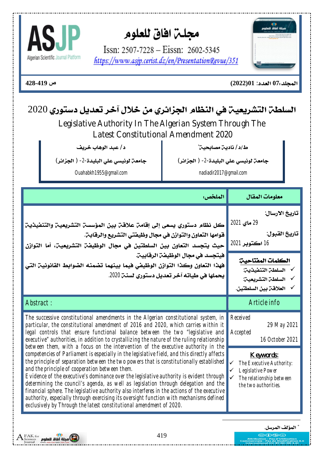



 $@@@$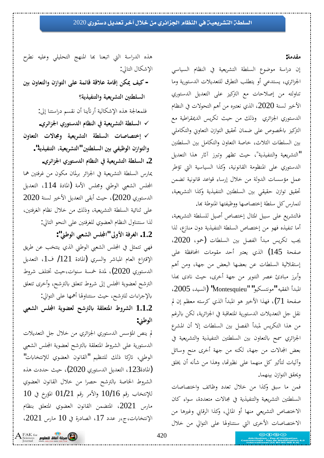الإشكال التالي:

#### **مقدمة:**

إن دراسة موضوع السلطة التشريعية في النظام السياسي الجزائري، يستدعى أو يتطلب التطرق للتعديلات الدستورية وما تناولته من إصلاحات مع التركيز على التعديل الدستوري الأخير لسنة 2020، الذي نعتبره من أهم التحولات في النظام الدستوري الجزائري وذلك من حيث تكريس الديمقراطية مع التركيز بالخصوص على ضمان تحقيق التوازن التعاويي والتكاملي بين السلطات الثلاث، خاصة التعاون والتكامل بين السلطتين التشريعية والتنفيذية"، حيث تظهر وتبرز آثار هذا التعديل" الدستوري على المنظومة القانونية، وكذا السياسية التي تؤطر عمل مؤسسات الدولة من خلال إرساء قواعد قانونية تضمن تحقيق توازن حقيقى بين السلطتين التنفيذية وكذا التشريعية، لتمارس كل سلطة إختصاصها ووظيفتها المنوطة بها.

فالتشريع على سبيل المثال إختصاص أصيل للسلطة التشريعية، أما تنفيذه فهو من إختصاص السلطة التنفيذية دون منازع، لذا يجب تكريس مبدأ الفصل بين السلطات (حمو، 2020، صفحة 145) الذي يعتبر أحد مقومات المحافظة على إستقلالية السلطات عن بعضها البعض من جهة، ومن أهم وأبرز مبادئ عصر التنوير من جهة أخرى، حيث نادى بهذا 2005ƾȈLjdz¦) **"**Montesquieu" **"**ȂȈǰLjƬǻȂǷ**"**ǾȈǬǨdz¦¢ƾƦŭ¦ صفحة 71)، فهذا الأخير هو المبدأ الذي كرسته معظم إن لم نقل جل التعديلات الدستورية المتعاقبة في الجزائرية، لكن بالرغم من هذا التكريس لمبدأ الفصل بين السلطات إلا أن المشرع الجزائري سمح بالتعاون بين السلطتين التنفيذية والتشريعية في بعض المجالات من جهة، لكنه من جهة أخرى منح وسائل وآليات لتأثير كل منهما على نظيرتما، وهذا من شأنه أن يخلق ويحقق التوازن بينهما.

فمن ما سبق وكذا من خلال تعدد وظائف واختصاصات السلطتين التشريعية والتنفيذية في مجالات متعددة، سواء كان الاختصاص التشريعي منها أو المالي، وكذا الرقابي وغيرها من الاختصاصات الأخرى التي سنتناولها على التوالي من خلال

**śƥÀÂƢǠƬdz¦ÂÀ±¦ȂƬdz¦ȄǴǟƨǸƟƢǫƨǫȐǟƨǷƢǫ¤ǺǰŻ ǦȈǯ -** السلطتين التشريعية والتنفيذية؟ فلمعالجة هذه الإشكالية أرتأينا أن نقسم دراستنا إلى: √ السلطة التشريعية في النظام الدستوري الجزائري. **ÀÂƢǠƬdz¦ ©ȏƢůÂ ƨȈǠȇǂnjƬdz¦ ƨǘǴLjdz¦ ©ƢǏƢǐƬƻ¤** 9 والتوازن الوظيفي بين السلطتين "التشريعية، التنفيذية". . السلطة التشريعية في النظام الدستوري الجزائري. عارس السلطة التشريعية في الجزائر برلمان مكون من غرفتين هما المجلس الشعبي الوطني ومجلس الأمة (المادة 114، التعديل الدستوري 2020)، حيث أبقى التعديل الأخير لسنة 2020 غلي ثنائية السلطة التشريعية، وذلك من خلال نظام الغرفتين، لذا سنتناول النظام العضوي للغرفتين على النحو التالي:  **:"řǗȂdz¦œǠnjdz¦džǴЦ" ńÂȋ¦ƨǧǂǤdz¦ .1.2** فهي تتمثل في المجلس الشعبي الوطني الذي ينتخب عن طريق الإقتراع العام المباشر والسري (المادة 121/ ف1، التعديل الدستوري 2020)، لمدة خمسة سنوات،حيث تختلف شروط الترشح لعضوية المجلس إلى شروط تتعلق بالترشح، وأخرى تتعلق

هذه الدراسة التي اتبعنا بَما المنهج التحليلي وعليه نطرح

**œǠnjdz¦ džǴЦ ƨȇȂǔǠdz ƶNjŗdzʪ ƨǬǴǠƬŭ¦ ¶Âǂnjdz¦ 1.1.2** الوطني:

بالإجراءات للترشح، حيث سنتناولها أهمها على التوالي:

لم ينص المؤسس الدستوري الجزائري من خلال جل التعديلات الدستورية على الشروط المتعلقة بالترشح لعضوية المجلس الشعبي الوطني، تاركا ذلك للتنظيم "القانون العضوي للإنتخابات" نادة123، التعديل الدستوري 2020)، حيث حددت هذه $(2020)$ الشروط الخاصة بالترشح حصرا من خلال القانون العضوي  $10$  للإنتخاب رقم 1 $10/16$  والأمر رقم  $01/21$  المؤرخ في مارس 2021، المتضمن القانون العضوي المتعلق بنظام الإنتخابات، ج،ر عدد 17، الصادرة في 10 مارس 2021،



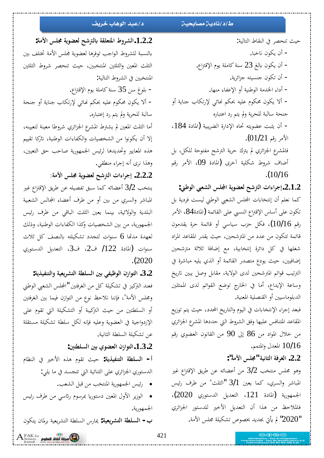#### ط/د/ناديـّ مصابحيـّ<sub>ّ</sub> د/عبد الوهاب خريف

 **:ƨǷȋ¦džǴůƨȇȂǔǠdzƶNjŗdzʪƨǬǴǠƬŭ¦¶Âǂnjdz¦.1.2.2** بالنسبة للشروط الواجب توفرها لعضوية مجلس الأمة تختلف بين الثلث المعين والثلثين المنتخبين، حيث تنحصر شروط الثلثين المنتخبين في الشروط التالية:

- بلوغ سن 35 سنة كاملة يوم الإقتراع. – ألا يكون محكوم عليه بحكم نحائ<sub>ى</sub> لإرتكاب جناية أو جنحة سالبة للحرية ولم يتم رد إعتباره.

أما الثلث المعين لم يشترط المشرع الجزائري شروطا معينة لتعيينه، إلا أن يكونوا من الشخصيات والكفاءات الوطنية، تاركا تقييم هذه المعايير وتحديدها لرئيس الجمهورية صاحب حق التعيين، وهذا نرى أنه إجراء منطقى.

**ƨǷȋ¦džǴůƨȇȂǔǠdz ƶNjŗdz¦©¦ ¦ǂƳ¤ .2.2.2**

ينتخب 3/2 أعضائه كما سبق تفصيله عن طريق الإقتراع غير المباشر والسري من بين أو من طرف أعضاء المجالس الشعبية البلدية والولائية، بينما يعين الثلث الباقي من طرف رئيس الجمهورية، من بين الشخصيات وكذا الكفاءات الوطنية، وذلك لعهدة مدتّما 6 سنوات لتجدد تشكيلته بالنصف كل ثلاث سنوات (المادة 122/ ف2، ف3، التعديل الدستوري .(2020

 **:ƨȇǀȈǨǼƬdz¦ÂƨȈǠȇǂnjƬdz¦ƨǘǴLjdz¦śƥȆǨȈǛȂdz¦À±¦ȂƬdz¦ .3.2** فعند التركيز في تشكيلة كل من الغرفتين "المجلس الشعبي الوطني ومجلس الأمة"، فإننا نلاحظ نوع من التوازن فيما بين الغرفتين أو السلطتين من حيث التركيبة أو التشكيلة التي تقوم على الإزدواجية في العضوية وعليه فإنه لكل سلطة تشكيلة مستقلة عن تشكيلة السلطة الثانية.

 **:śƬǘǴLjdz¦śƥÄȂǔǠdz¦À±¦ȂƬdz¦.1.3.2**

¿ƢǜǼdz¦ Ŀ Śƻȋ¦ ǽǀǿ ¿ȂǬƫ ƮȈƷ **:ƨȇǀȈǨǼƬdz¦ ƨǘǴLjdz¦ -¢** الدستوري الجزائري على الثنائية التي تتجسد في ما يلي:

● رئيس الجمهورية المنتخب من قبل الشعب.

● الوزير الأول المعين دستوريا بمرسوم رئاسي من طرف رئيس الجمهورية.

ب – ا**لسلطة التشويعية**: يمارس السلطة التشريعية برلمان يتكون

 $\Lambda_{\tiny\rm Sciences}^{\rm FAK~for}$  مجلة أفاق للعلوم  $\bigcirc$ 

حيث تنحصر في النقاط التالية: – أن يكون ناخبا. - أن يكون بالغ 23 سنة كاملة يوم الإقتراع. – أن تكون جنسيته جزائرية. − أداء الخدمة الوطنية أو الإعفاء منها. − ألا يكون محكوم عليه بحكم نحائ<sub>ى</sub> لإرتكاب جناية أو جنحة سالبة للحرية ولم يتم رد اعتباره - أن يثبت عضويته تحاه الإدارة الضريبية (المادة 184، الأمر رقم 01/21). فالمشرع الجزائري لم يترك حرية الترشح مفتوحة للكل، بل أضاف شروط شكلية آخرى (المادة 09، الأمر رقم . (10/16

 **:řǗȂdz¦œǠnjdz¦džǴЦƨȇȂǔǠdz ƶNjŗdz¦©¦ ¦ǂƳ¤.2.1.2**

كما نعلم أن إنتخابات المجلس الشعبي الوطني ليست فردية بل تكون على أساس الإقتراع النسبي على القائمة (المادة84، الأمر رقم 10/16)، فكل حزب سياسى أو قائمة حرة يقدمون قائمة تتكون من عدد من المترشحين، حيث يقدر المقاعد المراد شغلها في كل دائرة إنتخابية، مع إضافة ثلاثة مترشحين إضافيين، حيث يودع متصدر القائمة أو الذي يليه مباشرة في الترتيب قوائم المترشحين لدى الولاية، مقابل وصل يبين تاريخ وساعة الإيداع، أما في الخارج توضع القوائم لدى الممثلين الدبلوماسيين أو القنصلية المعنية.

فبعد إجراء الإنتخابات في اليوم والتاريخ المحدد، حيث يتم توزيع المقاعد المتنافس عليها وفق الشروط التي حددها المشرع الجزائري مِن خلال المواد من 86 إلى 90 من القانون العضوي رقم 10/16 المعدل والمتمم.

 **:"ƨǷȋ¦džǴů" ƨȈǻƢưdz¦ƨǧǂǤdz¦ .2.2**

وهو مجلس منتخب 3/2 من أعضائه عن طريق الإقتراع غير المباشر والسري، كما يعين 3/1 "الثلث" من طرف رئيس الجمهورية (المادة 121، التعديل الدستوري 2020)، فالملاحظ من هذا أن التعديل الأخير للدستور الجزائري **2020" لم يأتي بجديد بخصوص تشكيلة مجلس الأمة.** 

421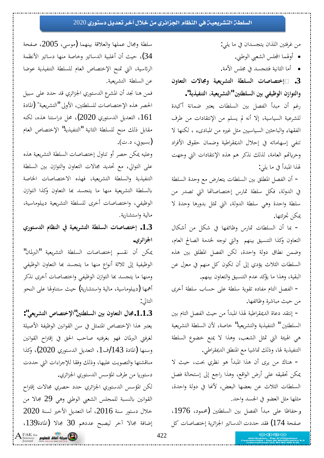#### السلطن التشريعين في النظام الجزائري من خلال آخر تعديل دستوري 2020

من غرفتين اللذان يتجسدان في ما يلي:

- أولهما المجلس الشعبي الوطني.
- أما الثانية فتتجسد في مجلس الأمة.

**ÀÂƢǠƬdz¦ ©ȏƢůÂ ƨȈǠȇǂnjƬdz¦ ƨǘǴLjdz¦ ©ƢǏƢǐƬƻ¤ .3** والتوازن الوظيفي بين السلطتين "التشريعية، التنفيذية".

رغم أن مبدأ الفصل بين السلطات يعتبر ضمانة أكيدة للشرعية السياسية، إلا أنه لم يسلم من الإنتقادات من طرف الفقهاء والباحثين السياسيين مثل غيره من المبادىء ، لكنها لا تنفي إسهاماته في إحلال الديمقراطية وضمان حقوق الأفراد وحرياتهم العامة، لذلك نذكر هم هذه الإنتقادات التي وجهت لهذا المبدأ في ما يلي:

- أن الفصل المطلق بين السلطات يتعارض مع وحدة السلطة في الدولة، فكل سلطة تمارس إختصاصاتها التي تصدر من سلطة واحدة وهي سلطة الدولة، التي تمثل بدورها وحدة لا يمكن تحزئتها.

− بما أن السلطات تمارس وظائفها في شكل من أشكال التعاون وكذا التنسيق بينهم والتي توجه لخدمة الصالح العام، وضمن نطاق دولة واحدة، لكن الفصل المطلق بين هذه السلطات الثلاث يؤدي إلى أن تكون كل منهم في معزل عن البقية، وهذا ما يؤكد عدم التنسيق والتعاون بينهم.

− الفصل التام مفاده تقوية سلطة على حساب سلطة أخرى من حيث مباشرة وظائفها.

− إنتقد دعاة الديمقراطية لهذا المبدأ من حيث الفصل التام بين السلطتين " التنفيذية والتشريعية" خاصة، لأن السلطة التشريعية هي الهيئة التي تمثل الشعب، وهذا لا يمنع خضوع السلطة التنفيذية لها، وذلك تماشيا مع المنطق الديمقراطي.

− هناك من يرى أن هذا المبدأ هو نظري بحت، حيث لا يمكن تحقيقه على أرض الواقع، وهذا راجع إلى إستحالة فصل السلطات الثلاث عن بعضها البعض، لأنها في دولة واحدة، مثلها مثل العضو في الجسد واحد.

وحفاظا على مبدأ الفصل بين السلطتين (محمود، 1976، صفحة 174) فقد حددت الدساتير الجزائرية إختصاصات كل

سلطة ومجال عملها والعلاقة بينهما (موسى، 2005، صفحة 34)، حيث أن أغلبية الدساتير وخاصة منها دساتير الأنظمة الرئاسية، التي تمنح الإختصاص العام للسلطة التنفيذية عوضا عن السلطة التشريعية.

فمن هنا نجد أن المشرع الدستوري الجزائري قد حدد على سبيل الحصر هذه الإختصاصات للسلطتين، الأولى "التشريعية" (المادة ل، التعديل الدستوري 2020)، محل دراستنا هذه، لكنه مقابل ذلك منح للسلطة الثانية "التنفيذية" الإختصاص العام (بسيوڼي، د.ت).

وعليه يمكن حصر أو تناول إختصاصات السلطة التشريعية هذه على التوالي، مع تحديد مجالات التعاون والتوازن بين السلطة التنفيذية والسلطة التشريعية، فهذه الاختصاصات الخاصة بالسلطة التشريعية منها ما يتجسد بها التعاون وكذا التوازن الوظيفي، واختصاصات أخرى للسلطة التشريعية ديبلوماسية، مالية واستشارية.

**İȂƬLJƾdz¦¿ƢǜǼdz¦ĿƨȈǠȇǂnjƬdz¦ƨǘǴLjdz¦©ƢǏƢǐƬƻ¤ .1.3 الجزائوي.** 

يمكن أن نقسم إختصاصات السلطة التشريعية "البرلمان" الوظيفية إلى ثلاثة أنواع منها ما يتجسد بما التعاون الوظيفي ومنها ما يتجسد بها التوازن الوظيفي واختصاصات أخرى نذكر أهمها (ديبلوماسية، مالية واستشارية) حيث ستناولها على النحو التالي:

**: "ȆǠȇǂnjƬdz¦´ƢǐƬƻȍ¦ "śƬǘǴLjdz¦ śƥ ÀÂƢǠƬdz¦¾Ƣů.1.1.3** يعتبر هذا الإختصاص المتمثل في سن القوانين الوظيفة الأصيلة لغرفتي البرلمان فهو بغرفتيه صاحب الحق في إقتراح القوانين وسنها (المادة 143/ف1، التعديل الدستوري 2020)، وكذا مناقشتها والتصويت عليها، وذلك وفقا للإجراءات التي حددت دستوريا من طرف المؤسس الدستوري الجزائري.

لكن المؤسس الدستوري الجزائري حدد حصري مجالات إقتراح القوانين بالنسبة للمجلس الشعبي الوطني وهي 29 مجالا من  $2020$  خلال دستور سنة 2016، أما التعديل الأخير لسنة 2020 إضافة مجالا آخر ليصبح عددهم 30 مجالا (المادة139،

FAK for<br>Sciences **public idea** 

422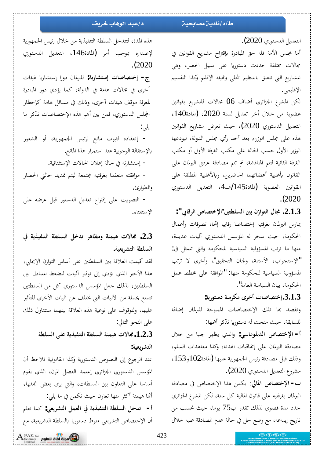التعديل الدستوري 2020). أما مجلس الأمة فله حق المبادرة بإقتراح مشاريع القوانين في جالات مختلفة حددت دستوريا على سبيل الحصر، وهي المشاريع التي تتعلق بالتنظيم المحلى وتميئة الإقليم وكذا التقسيم الإقليمي. لكن المشرع الجزائري أضاف 06 مجالات للتشريع بقوانين عضوية من خلال أخر تعديل لسنة 2020، (المادة140، التعديل الدستوري 2020)، حيث تعرض مشاريع القوانين هذه على مجلس الوزراء بعد أخذ رأي مجلس الدولة، ليودعها الوزير الأول حسب الحالة على مكتب الغرفة الأولى أو مكتب الغرفة الثانية لتتم المناقشة، ثم تتم مصادقة غرفتي البرلمان على

القانون بأغلبية أعضائهما الحاضرين، وبالأغلبية المطلقة على القوانين العضوية (المادة145/ف4، التعديل الدستوري .(2020

 **:" ĺƢǫǂdz¦ ´ƢǐƬƻȍ¦śƬǘǴLjdz¦śƥÀ±¦ȂƬdz¦¾Ƣů .2.1.3** يمارس البرلمان بغرفتيه إختصاصا رقابيا إتجاه تصرفات وأعمال الحكومة، حيث سخر له المؤسس الدستوري أليات عديدة، منها ما ترتب المسؤولية السياسية للحكومة والتي تتمثل في: الإستجواب، الأسئلة، ولجان التحقيق"، وأخرى لا ترتب" المسؤولية السياسية للحكومة منها: "الموافقة على مخطط عمل الحكومة، بيان السياسة العامة".

 **:ʮ°ȂƬLJ®ƨLJǂǰǷ Ãǂƻ¢©ƢǏƢǐƬƻ¤.3.1.3**

ونقصد بها تلك الإختصاصات الممنوحة للبرلمان إضافة للسابقة، حيث منحت له دستوريا نذكر أهمها:

أ **- الإختصاص الدبلوماسي:** والذي يظهر جليا من خلال مصادقة البرلمان على إتفاقيات الهدنة، وكذا معاهدات السلم، وذلك قبل مصادقة رئيس الجمهورية عليها (المادة102و153، مشروع التعديل الدستوري 2020).

ƨǫ®ƢǐǷĿ ´ƢǐƬƻȍ¦¦ǀǿǺǸǰȇ **ŅƢŭ¦ ´ƢǐƬƻȍ¦ -§** البرلمان بغرفتيه على قانون المالية كل سنة، لكن المشرع الجزائري حدد مدة قصوى لذلك تقدر ب75 يوما، حيث تحسب من تاريخ إيداعه، مع وضع حل في حالة عدم المصادقة عليه خلال

### ط/د/ناديـّ مصابحيـّ<sub>ة</sub> د/عبد الوهاب خريف

هذه المدة، لتتدخل السلطة التنفيذية من خلال رئيس الجمهورية لإصداره بموجب أمر (المادة146، التعديل الدستوري .(2020

ج- إختصاصات إستشارية: للبرلمان دورا إستشاريا لهيئات أخرى في مجالات هامة في الدولة، كما يؤدي دور المبادرة لمعرفة موقف هيئات آخرى، وذلك في مسائل هامة كإخطار المجلس الدستوري، فمن بين أهم هذه الإختصاصات نذكر ما يلي:

- إنعقاده لثبوت مانع لرئيس الجمهورية، أو الشغور بالإستقالة الوجوبية عند استمرار هذا المانع.

− إستشارته في حالة إعلان الحالات الإستثنائية.

− موافقته منعقدا بغرفتيه مجتمعة ليتم تمديد حالتي الحصار والطوا<sub>ل</sub>ئ.

- التصويت على إقتراح تعديل الدستور قبل عرضه على الإستفتاء.

# **Ŀ ƨȇǀȈǨǼƬdz¦ ƨǘǴLjdz¦ Dzƻƾƫ ǂǿƢǜǷÂ ƨǼǸȈǿ ©ȏƢů .2.3** السلطة التشريعية.

لقد أقيمت العلاقة بين السلطتين على أساس التوازن الإيجابي، هذا الأخير الذي يؤدي إلى توفير آليات للضغط المتبادل بين السلطتين، لذلك جعل المؤسس الدستوري كل من السلطتين تتمتع بجملة من الآليات التي تختلف عن آليات الأخرى للتأثير عليها، وللوقوف على نوعية هذه العلاقة بينهما سنتناول ذلك على النحو التالي:

> **ƨǘǴLjdz¦ȄǴǟƨȇǀȈǨǼƬdz¦ƨǘǴLjdz¦ƨǼǸȈǿ©ȏƢů.1.2.3** التشريعية:

عند الرجوع إلى النصوص الدستورية وكذا القانونية نلاحظ أن المؤسس الدستوري الجزائري إعتمد الفصل المرن، الذي يقوم أساسا على التعاون بين السلطات، والتي يرى بعض الفقهاء أنها هيمنة أكثر منها تعاون حيث تكمن في ما يلي: أ− تدخل السلطة التنفيذية في العمل التشريعي: كما نعلم أن الإختصاص التشريعي منوط دستوريا بالسلطة التشريعية، مع

FAK for<br>Sciences **pplul add died apple**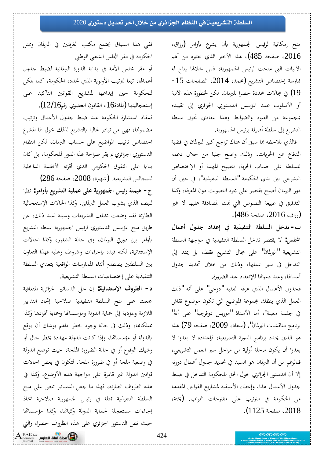#### السلطن التشريعيـن في النظام الجزائري من خلال آخر تعديل دستوري 2020

منح إمكانية لرئيس الجمهورية بأن يشرع بأوامر (رزاق، Ƕǿ¢ ǺǷ ǽŐƬǠǻ Äǀdz¦ Śƻȋ¦ ¦ǀǿ (485 ƨƸǨǏ 2016 الأليات التي منحت لرئيس الجمهورية، فمن خلالها يتاح له -15 مارسة إختصاص التشريع (محمد، 2014، الصفحات و) في مجالات محددة حصرا للبرلمان، لكن لخطورة هذه الآلية  $(19\,$ أو الأسلوب عمد المؤسس الدستوري الجزائري إلى تقييده بمجموعة من القيود والضوابط وهذا لتفادي تحول سلطة التشريع إلى سلطة أصيلة برئيس الجمهورية.

فالذي نلاحظه مما سبق أن هناك تراجع كبير للبرلمان في قضية الدفاع عن الحريات، وذلك واضح جليا من خلال دعمه للسلطة على حساب الحرية، لتصبح المهمة أو الإختصاص التشريعي بين يدي الحكومة "السلطة التنفيذية"، في حين أن دور البرلمان أصبح يقتصر على مجرد التصويت دون المعرفة، وكذا التدقيق في طبيعة النصوص التي تمت المصادقة عليها لا غير رزاق، 2016، صفحة 486).

ب = تدخل السلطة التنفيذية في إعداد جدول أعمال ا**لمجلس:** لا يقتصر تدخل السلطة التنفيذية في مواجهة السلطة التشريعية "البرلمان" على مجال التشريع فقط، بل يمتد إلى التدخل في سير عملها، وذلك من خلال تحديد جدول أعمالها، وعند دعوتها للإنعقاد عند الضرورة.

فجدول الأعمال الذي عرفه الفقيه "دوجي" على أنه "ذلك العمل الذي ينظك مجموعة الموضيع التي تكون موضوع نقاش في جلسة معينة"، أما الأستاذ "موريس دوفرجيه" على أنه" برنامج مناقشات البرلمان". (سعاد، 2009، صفحة 79) هذا هو الذي يحدد برنامج الدورة التشريعية، فإعداده لا يعدوا لا يعدوا أن يكون مرحلة أولية من مراحل سير العمل التشريعي، فبالرغم من أن البرلمان هو السيد في تحديد جدول أعمال دورته إلا أن الدستور الجزائري خول الحق للحكومة التدخل في ضبط جدول الأعمال هذا، وإعطاء الأسبقية لمشاريع القوانين المقدمة من الحكومة في الترتيب على مقترحات النواب. (بختة، . (1125ƨƸǨǏ2018

ففي هذا السياق يجتمع مكتب الغرفتين في البرلمان وممثل الحكومة في مقر المجلس الشعبي الوطني أو مقر مجلس الأمة في بداية الدورة البرلمانية لضبط جدول أعمالها، تبعا لترتيب الأولوية الذي تحدده الحكومة، كما يمكن للحكومة حين إيداعها لمشاريع القوانين التأكيد على

إستعجاليتها (المادة16 ، القانون العضوي رقم12/16). فمفاد استشارة الحكومة عند ضبط جدول الأعمال وترتيب مضمونها، فهي من تبادر غالبا بالتشريع لذلك خول لها المشرع اختصاص ترتيب المواضيع على حساب البرلمان، لكن النظام الدستوري الجزائري لم يقر صراحة بمذا الدور للحكومة، بل كان بناءا على التفوق الحكومي الذي أقرته الأنظمة الداخلية

للمجالس التشريعية. (شهيرة، 2008، صفحة 286) ج- هيمنة رئيس الجمهورية على عملية التشريع بأوامر: نظرا للبطء الذي يشوب العمل البرلماني، وكذا الحالات الإستعجالية الطارئة فقد وضعت مختلف التشريعات وسيلة لسد ذلك، عن طريق منح المؤسس الدستوري لرئيس الجمهورية سلطة التشريع بأوامر بين دورتي البرلمان، وفي حالة الشغور، وكذا الحالات الإستثنائية، لكنه قيده بإجراءات وشروط، وعليه فهذا التعاون بين السلطتين يصطدم أثناء الممارسات الواقعية بتعدي السلطة التنفيذية على إختصاصات السلطة التشريعية.

د- الظروف الإستثنائية: إن جل الدساتير الجزائرية المتعاقبة جمعت عل<sub>ى</sub> منح السلطة التنفيذية صلاحية إتخاذ التدابير اللازمة والمؤدية إلى حماية الدولة ومؤسساتها وحماية أفرادها وكذا ممتلكاتها، وذلك في حالة وجود خطر داهم يوشك أن يوقع بالدولة أو مؤسساتها، وإذا كانت الدولة مهددة بخطر حال أو وشيك الوقوع أو في حالة الضرورة الملحة، حيث توضع الدولة في وضعية ملحة أو في ضرورة ملحة، لتكون في بعض الحالات قوانين الدولة غير قادرة على مواجهة هذه الأوضاع، وكذا في هذه الظروف الطارئة، فهذا ما جعل الدساتير تنص على منح السلطة التنفيذية ممثلة في رئيس الجمهورية صلاحية اتخاذ إجراءات مستعجلة لحماية الدولة وكيانها، وكذا مؤسساتها حيث نص الدستور الجزائري على هذه الظروف حصرا، والتي

FAK for<br>Sciences **Angles Light dept<sup>6</sup>0**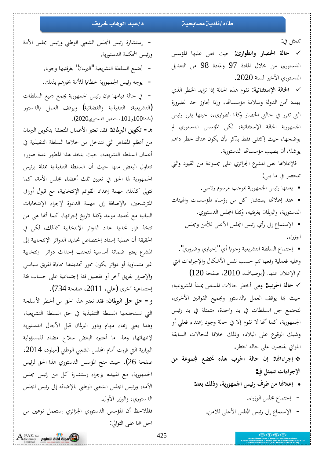#### **ƞƿźųśŚƷƺƫřŶŞƗŵ ŠǀŰŝŚƈƯŠƿŵŚƳŵƍ**

تتمثل في:

**√ حالة الحصار والطوارئ:** حيث نص عليها المؤسس الدستوري من خلال المادة 97 والمادة 98 من التعديل الدستوري الأخير لسنة 2020.

**√ الحالة الإستثنائية:** تقوم هذه الحالة إذا تزايد الخطر الذي يهدد أمن الدولة وسلامة مؤسساتها، وإذا تجاوز حد الضرورة التي تقرر في حالتي الحصار وكذا الطوارىء، حينها يقرر رئيس الجمهورية الحالة الإستثنائية، لكن المؤسس الدستوري لم يوضحها، حيث إكتفى فقط بذكر بأن يكون هناك خطر داهم يوشك أن يصيب مؤسساتها الدستورية.

فلإعلانها نص المشرع الجزائري على مجموعة من القيود والتي تنحصر في ما يلي:

■ يعلنها رئيس الجمهورية بموجب مرسوم رئاسي.

■ عند إعلانها يستشار كل من رؤساء المؤسسات والهيئات الدستورية، والبرلمان بغرفتيه، وكذا المجلس الدستوري.

■ الإستماع إلى رأي رئيس المجلس الأعلى للأمن ومجلس الوزراء .

■ إجتماع السلطة التشريعية وجوبا أي "إجباري وضروري". وعليه فعملية رفعها تتم حسب نفس الأشكال والإجراءات التي تم الإعلان عنها. (بوضياف، 2010، صفحة 120)

**√ حالة الحرب:** وهي أخطر حالات المساس بمبدأ المشروعية، حيث بها يوقف العمل بالدستور وبجميع القوانين الأخرى، لتجتمع جل السلطات في يد واحدة، متمثلة في يد رئيس الجمهورية، كما أنها لا تقوم إلا في حالة وجود إعتداء فعلى أو وشيك الوقوع على البلاد، وذلك خلافا للحالات السابقة اللواتي يقتصرن على حالة الخطر.

 **ǺǷ ƨǟȂǸĐ Ǟǔţ ǽǀǿ §ǂū¦ ƨdzƢƷ À¤ :Ƣē¦ ¦ǂƳ¤** الإجراءات تتمثل في:

- إعلانها من طرف <sub>ر</sub>ئيس الجمهورية، وذلك بعد:
	- − إجتماع مجلس الوزراء.
	- الإستماع إلى رئيس المجلس الأعلى للآمن.

− إستشارة رئيس المجلس الشعبي الوطني ورئيس مجلس الأمة ورئيس المحكمة الدستورية. – تجتمع السلطة التشريعية "البرلمان" بغرفتيها وجوبا.

– يوجه رئيس الجمهورية خطابا للأمة يخبرهم بذلك.

 ©ƢǘǴLjdz¦ǞȈŦǞǸŸƨȇ°ȂȀǸŪ¦džȈƟ°ÀƜǧƢȀǷƢȈǫƨdzƢƷĿ - (التشريعية، التنفيذية والقضائية) ويوقف العمل بالدستور  $(2020)$ المادة $100$ و  $(101)$ ، التعديل الدستوري $)$ 

ÀƢŭŐdz¦ǺȇȂǰƬƥƨǬǴǠƬŭ¦¾ƢǸǟȋ¦ŐƬǠƫƾǬǧ **:ÀƢŭŐdz¦ǺȇȂǰƫ -Á** من أعظم المظاهر التي تتدخل من خلالها السلطة التنفيذية في أعمال السلطة التشريعية، حيث يتخذ هذا المظهر عدة صور، نتناول البعض منها حيث أن السلطة التنفيذية ممثلة برئيس الجمهورية لها الحق في تعيين ثلث أعضاء مجلس الأمة، كما تتولى كذلك مهمة إعداد القوائم الإنتخابية، مع قبول أوراق المترشحين، بالإضافة إلى مهمة الدعوة لإجراء الإنتخابات النيابية مع تحديد موعد وكذا تاريخ إجرائها، كما أنها هي من تتخذ قرار تحديد عدد الدوائر الإنتخابية كذلك، لكن في الحقيقة أن عملية إسناد إختصاص تحديد الدوائر الإنتخابية إلى المشرع يعتبر ضمانة أساسية لتجنب إحداث دوائر إنتخابية غیر متساویة أو دوائر یکون محور تحدیدها محاباة لفریق سیاسی والإضرار بفريق آخر أو تفضيل فئة إجتماعية على حساب فئة

إجتماعية أخرى (على، 2011، صفحة 734). و – حق حل البرلمان: فقد نعتبر هذا الحق من أخطر الأسلحة التي تستخدمها السلطة التنفيذية في حق السلطة التشريعية، وهذا يعني إنهاء مهام ودور البرلمان قبل الآجال الدستورية لإنتهائها، وهذا ما أعتبره البعض سلاح مضاد للمسؤولية الوزارية التي قررت أمام المجلس الشعبي الوطني (ميلود، 2014، صفحة 26)، حيث منح المؤسس الدستوري هذا الحق لرئيس الجمهورية، مع تقييده بإجراء إستشارة كل من رئيس مجلس الأمة، ورئيس المجلس الشعبي الوطني بالإضافة إلى رئيس المجلس الدستوري، والوزير الأول. فالملاحظ أن المؤسس الدستوري الجزائري إستعمل نوعين من الحل هما على التوالي:

 $\mathrm{A}^{\scriptscriptstyle \mathrm{FAK~for}}_{\scriptscriptstyle \mathrm{Science}}$  مجلة أفاق للعلوم  $\mathrm{G}$ 

425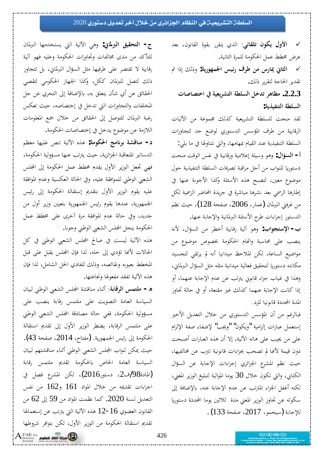#### السلطن التشريعيـن في النظام الجزائري من خلال آخر تعديل دستوري 2020

**√ الأول يكون تلقائي:** الذي يتقرر بقوة القانون، بعد عرض مخطط عمل الحكومة للمرة الثانية.

**√ الثاني يمارس من طرف رئيس الجمهورية:** وذلك إذا تم تقدير الحاجة لتقرير ذلك.

 **©ƢǏƢǐƬƻ¦ĿƨȈǠȇǂnjƬdz¦ƨǘǴLjdz¦DzƻƾƫǂǿƢǜǷ .2.2.3** السلطة التنفيذية:

لقد منحت للسلطة التشريعية كذلك مجموعة من الأليات الرقابية من طرف المؤسس الدستوري لوضع حد لتجاوزات السلطة التنفيذية عند القيام بمهامها، والتي نتناولها في ما يلي: أ **- السؤال:** وهو وسيلة إعلامية ورقابية في نفس الوقت منحت دستوريا للنواب من أجل مراقبة تصرفات السلطة التنفيذية حول موضوع معين، لتصبح هذه الأسئلة وكذا الأجوبة عنها في إطارها الرسمي بعد نشرها مباشرة في جريدة المحاضر الرسمية لكل من غرفتي البرلمان (عمار، 2006، صفحة 128)، حيث نظم الدستور إجراءات طرح الأسئلة البرلمانية والإجابة عنها.

ب - الإستجواب: وهو آلية رقابية أخطر من السؤال، لأنه ينصب على محاسبة واتّحام الحكومة بخصوص موضوع من مواضيع الساعة، لكن الملاحظ ميدانيا أنه لم يرتقى لتجسيد مكانته دستوريا لتحقيق فعالية ميدانية مثله مثل السؤال البرلمايي، وهذا في غياب جزاء قانوني يترتب عن عدم الإجابة عنهما، أو إذا كانت الإجابة عنهما كذلك غير مقنعة، أو في حالة تجاوز المدة المحددة قانونيا للرد.

فبالرغم من أن المؤسس الدستوري من خلال التعديل الأخير إستعمل عبارات إلزامية "ويكون" "ويجب" لإضفاء صفة الإلزام على من يجيب على هاته الآلية، إلا أن هذه العبارات أصبحت دون قيمة لأنها لم تصحب بجزاءات قانونية تترب عن مخالفيها، حيث نظم المشرع الجزائري إجراءات الإجابة عن السؤال الكتابي، والتي تكون خلال 30 يوما الموالية لتبليغ الوزير المعنى، لكنه أغفل الجزاء المترتب عن عدم الإجابة عنه، بالإضافة إلى سكوته عن تجاوز الوزير المعنى مدة ثلاثين يوما المحددة دستوريا للإجابة (سيحمو، 2017، صفحة 133) .

ج- ا**لتحقيق البرلماني:** وهي الآلية التي يستخدمها البرلمان للتأكد من مدى مخالفات وتجاوزات الحكومة وعليه فهو آلية رقابية لا تقتصر على طرفيها مثل السؤال البرلماني، بل تتجاوز ذلك لتصل للبرلمان ككل، وكذا الجهاز الحكومي لتقصى الحقائق عن أي شأن يتعلق به، بالإضافة إلى التحري عن جل المخلفات والتجاوزات التي تدخل في إختصاصه، حيث تعكس رغبة البرلمان للتوصل إلى الحقائق من خلال جمع المعلومات اللازمة عن موضوع يدخل في إختصاصات الحكومة.

ǶǜǠǷƢȀȈǴǟǎǼƫ ƨȈdzȉ¦ǽǀǿ **:ƨǷȂǰū¦ ƲǷʭǂƥ ƨnjǫƢǼǷ -®** الدساتير المتعاقبة الجزائرية، حيث يترتب عنها مسؤولية الحكومة، فهي تجعل الوزير الأول يقدم مخطط عمل الحكومة إلى المجلس الشعبي الوطني للموافقة عليه، وفي الحالة العكسية وعدم الموافقة عليه يقوم الوزير الأول بتقديم إستقالة الحكومة إلى رئيس الجمهورية، عندها يقوم رئيس الجمهورية بتعيين وزير أول من جديد، وفي حالة عدم الموافقة مرة أخرى على مخطط عمل الحكومة ينحل المجلس الشعبي الوطني وجوبا.

هذه الآلية ليست في صالح المجلس الشعبي الوطني في كل الحالات لأنها تؤدي إلى حله، لذا فإن المجلس يقبل على قبل المخطط بعيوبه ونقائصه، وذلك لتفادي الحل الشامل، لذا فإن هذه الآلية تفقد مفعولها ونجاعتها.

ÀƢȈƦdzřǗȂdz¦œǠnjdz¦džǴЦƨnjǫƢǼǷ ƢǼƯ¢ **ƨƥƢǫǂdz¦džǸƬǴǷ -Á** السياسة العامة التصويت على ملتمس رقابة ينصب على مسؤولية الحكومة، ففي حالة مصادقة المجلس الشعبي الوطني على ملتمس الرقابة، يضطر الوزير الأول إلى تقديم استقالة الحكومة إلى رئيس الجمهورية. (مفتاح، 2014، صفحة 43). حيث يمكن لنواب المجلس الشعبي الوطني أثناء مناقشتهم لبيان السياسة العامة الخاص بالحكومة تقديم ملتمس رقابة (المادة98/ف2، دستور2016)، لكن المشرع فصل في اجراءات تقديمه من خلال المواد 161 و162 من نفس التعديل لسنة 2020. كما نظمت المواد من 59 إلى 62 من القانون العضوي 16−12 هذه الآلية التي يترتب عن إستعمالها تقديم استقالة الحكومة من الوزير الأول، لكن بتوافر شروطها

FAK for **الثاني التي يستطيع FAK** for **add ideas**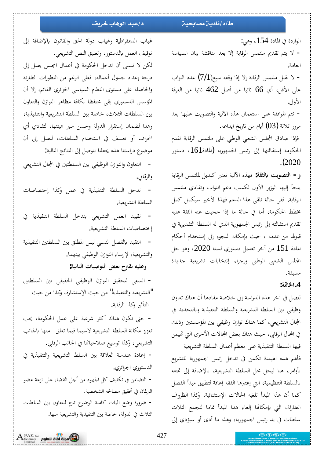#### **ƞƿźųśŚƷƺƫřŶŞƗŵ ŠǀŰŝŚƈƯŠƿŵŚƳŵƍ**

غياب الديمقراطية وغياب دولة الحق والقانون بالإضافة إلى

لكن لا ننسى أن تدخل الحكومة في أعمال المجلس يصل إلى

درجة إعداد جدول أعماله، فعلى الرغم من التطورات الطارئة

والحاصلة على مستوى النظام السياسي الجزائري القائم، إلا أن

المؤسس الدستوري بقى محتفظا بكافة مظاهر التوازن والتعاون

بين السلطات الثلاث، خاصة بين السلطة التشريعية والتنفيذية،

توقيف العمل بالدستور، وتعليق النص التشريعي.

الواردة في المادة 154، وهي:

– لا يتم تقديم ملتمس الرقابة إلا بعد مناقشة بيان السياسة العامة.

خ يقبل ملتمس الرقابة إلا إذا وقعه سبع(7/1) عدد النواب -على الأقل، أي 66 نائبا من أصل 462 نائبا من الغرفة الأولى.

− تتم الموافقة على استعمال هذه الألية والتصويت عليها بعد مرور ثلاثة  $(03)$  أيام من تاريخ ايداعه.

فإذا صادق المجلس الشعبي الوطني على ملتمس الرقابة تقدم الحكومة إستقالتها إلى رئيس الجمهورية (المادة161، دستور .(2020

**و− التصويت بالثقة:** فهذه الآلية تعتبر كبديل لملتمس الرقابة يلجأ إليها الوزير الأول لكسب دعم النواب وتفادى ملتمس الرقابة. ففي حالة تلقى هذا الدعم فهذا الأخير سيكمل كمل مخطط الحكومة، أما في حالة ما إذا حجبت عنه الثقة عليه تقديم استقالته إلى رئيس الجمهورية الذي له السلطة التقديرية في قبولها من عدمه ، حيث بإمكانه اللجوء إلى إستخدام أحكام المادة 151 من آخر تعديل دستوري لسنة 2020، وهو حل المجلس الشعبي الوطني وإجراء إنتخابات تشريعية جديدة مسبقة.

### **:ƨŤƢŬ¦ .4**

لنصل في آخر هذه الدراسة إلى خلاصة مفادها أن هناك تعاون وظيفي بين السلطة التشريعية والسلطة التنفيذية وبالتحديد في المجال التشريعي، كما هناك توازن وظيفي بين المؤسستين وذلك في المجال الرقابي، حيث هناك بعض المجالات الأخرى التي تهيمن فيها السلطة التنفيذية على معظم أعمال السلطة التشريعية فأهم هذه الهيمنة تكمن في تدخل رئيس الجمهورية للتشريع بأوامر، هنا ليحل محل السلطة التشريعية، بالإضافة إلى تمتعه بالسلطة التنظيمية، التي إعتبرها الفقه إعاقة لتطبيق مبدأ الفصل كما أن هذا المبدأ تلغيه الحالات الإستثنائية، وكذا الظروف الطارئة، التي بإمكانها إلغاء هذا المبدأ تماما لتجمع الثلاث سلطات في يد رئيس الجمهورية، وهذا ما أدى أو سيؤدي إلى

وهذا لضمان إستقرار الدولة وحسن سير هيئتها، لتفادي أي انحراف أو تعسف في استخدام السلطات، لنصل إلى أن موضوع دراستنا هذه يجعلنا نتوصل إلى النتائج التالية: − التعاون والتوازن الوظيفي بين السلطتين في المجال التشريعي والرقابي. – تدخل السلطة التنفيذية في عمل وكذا إختصاصات السلطة التشريعية. – تقييد العمل التشريعي بتدخل السلطة التنفيذية في إختصاصات السلطة التشريعية. − التقيد بالفصل النسبي ليس المطلق بين السلطتين التنفيذية والتشريعية، لإرساء التوازن الوظيفي بينهما. وعليه نقترح بعض التوصيات التالية: − السعى لتحقيق التوازن الوظيفي الحقيقي بين السلطتين التشريعية والتنفيذية" من حيث الإستشارة، وكذا من حيث التأثير وكذا الرقابة. – حتى تكون هناك أكثر شرعية على عمل الحكومة، يجب تعزيز مكانة السلطة التشريعية لاسيما فيما تعلق منها بالجانب التشريعي، وكذا توسيع صلاحياتها في الجانب الرقابي. - إعادة هندسة العلاقة بين السلط التشريعية والتنفيذية في الدستوري الجزائري. − التضامن في تكثيف كل الجهود من أجل القضاء على نزعة عضو البرلمان في تحقيق مصالحه الشخصية. – ضرورة وضع آليات كاملة الوضوح تلزم للتعاون بين السلطات

الثلاث في الدولة، خاصة بين التنفيذية والتشريعية منها.